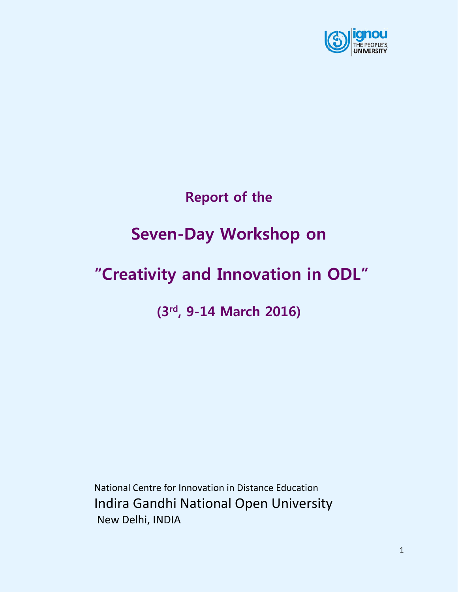

# **Report of the**

# **Seven-Day Workshop on**

# **"Creativity and Innovation in ODL"**

**(3 rd, 9-14 March 2016)**

National Centre for Innovation in Distance Education Indira Gandhi National Open University New Delhi, INDIA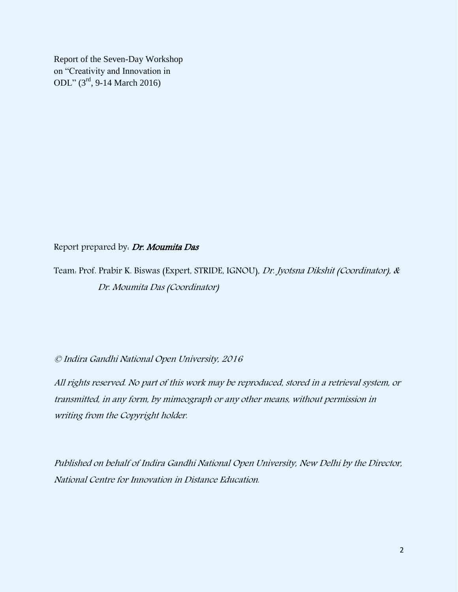Report of the Seven-Day Workshop on "Creativity and Innovation in ODL" (3 rd, 9-14 March 2016)

Report prepared by: Dr. Moumita Das

Team: Prof. Prabir K. Biswas (Expert, STRIDE, IGNOU), Dr. Jyotsna Dikshit (Coordinator), & Dr. Moumita Das (Coordinator)

© Indira Gandhi National Open University, 2016

All rights reserved. No part of this work may be reproduced, stored in a retrieval system, or transmitted, in any form, by mimeograph or any other means, without permission in writing from the Copyright holder.

Published on behalf of Indira Gandhi National Open University, New Delhi by the Director, National Centre for Innovation in Distance Education.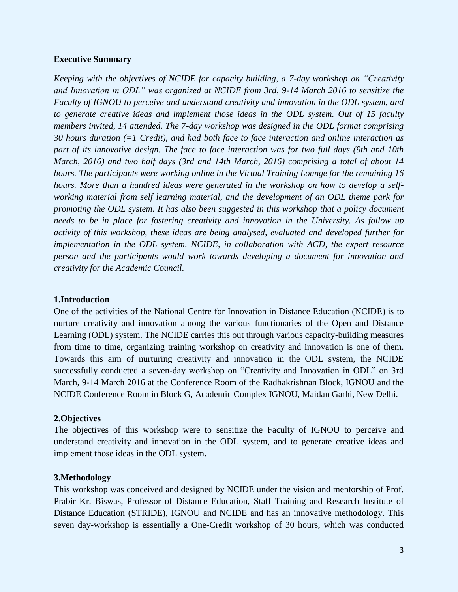#### **Executive Summary**

*Keeping with the objectives of NCIDE for capacity building, a 7-day workshop on "Creativity and Innovation in ODL" was organized at NCIDE from 3rd, 9-14 March 2016 to sensitize the Faculty of IGNOU to perceive and understand creativity and innovation in the ODL system, and to generate creative ideas and implement those ideas in the ODL system. Out of 15 faculty members invited, 14 attended. The 7-day workshop was designed in the ODL format comprising 30 hours duration (=1 Credit), and had both face to face interaction and online interaction as part of its innovative design. The face to face interaction was for two full days (9th and 10th March, 2016) and two half days (3rd and 14th March, 2016) comprising a total of about 14 hours. The participants were working online in the Virtual Training Lounge for the remaining 16 hours. More than a hundred ideas were generated in the workshop on how to develop a selfworking material from self learning material, and the development of an ODL theme park for promoting the ODL system. It has also been suggested in this workshop that a policy document needs to be in place for fostering creativity and innovation in the University. As follow up activity of this workshop, these ideas are being analysed, evaluated and developed further for implementation in the ODL system. NCIDE, in collaboration with ACD, the expert resource person and the participants would work towards developing a document for innovation and creativity for the Academic Council.*

#### **1.Introduction**

One of the activities of the National Centre for Innovation in Distance Education (NCIDE) is to nurture creativity and innovation among the various functionaries of the Open and Distance Learning (ODL) system. The NCIDE carries this out through various capacity-building measures from time to time, organizing training workshop on creativity and innovation is one of them. Towards this aim of nurturing creativity and innovation in the ODL system, the NCIDE successfully conducted a seven-day workshop on "Creativity and Innovation in ODL" on 3rd March, 9-14 March 2016 at the Conference Room of the Radhakrishnan Block, IGNOU and the NCIDE Conference Room in Block G, Academic Complex IGNOU, Maidan Garhi, New Delhi.

#### **2.Objectives**

The objectives of this workshop were to sensitize the Faculty of IGNOU to perceive and understand creativity and innovation in the ODL system, and to generate creative ideas and implement those ideas in the ODL system.

#### **3.Methodology**

This workshop was conceived and designed by NCIDE under the vision and mentorship of Prof. Prabir Kr. Biswas, Professor of Distance Education, Staff Training and Research Institute of Distance Education (STRIDE), IGNOU and NCIDE and has an innovative methodology. This seven day-workshop is essentially a One-Credit workshop of 30 hours, which was conducted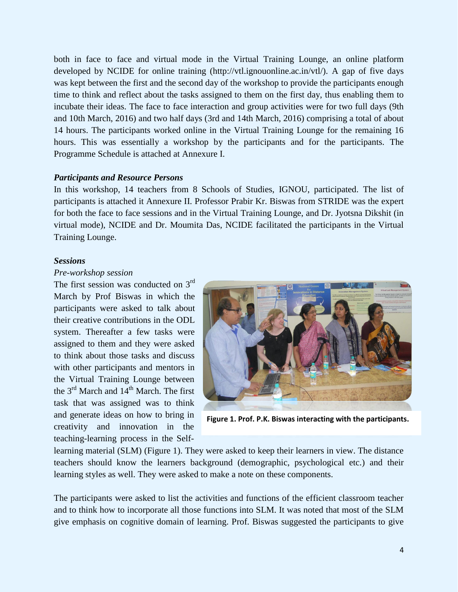both in face to face and virtual mode in the Virtual Training Lounge, an online platform developed by NCIDE for online training (http://vtl.ignouonline.ac.in/vtl/). A gap of five days was kept between the first and the second day of the workshop to provide the participants enough time to think and reflect about the tasks assigned to them on the first day, thus enabling them to incubate their ideas. The face to face interaction and group activities were for two full days (9th and 10th March, 2016) and two half days (3rd and 14th March, 2016) comprising a total of about 14 hours. The participants worked online in the Virtual Training Lounge for the remaining 16 hours. This was essentially a workshop by the participants and for the participants. The Programme Schedule is attached at Annexure I.

#### *Participants and Resource Persons*

In this workshop, 14 teachers from 8 Schools of Studies, IGNOU, participated. The list of participants is attached it Annexure II. Professor Prabir Kr. Biswas from STRIDE was the expert for both the face to face sessions and in the Virtual Training Lounge, and Dr. Jyotsna Dikshit (in virtual mode), NCIDE and Dr. Moumita Das, NCIDE facilitated the participants in the Virtual Training Lounge.

#### *Sessions*

#### *Pre-workshop session*

The first session was conducted on 3<sup>rd</sup> March by Prof Biswas in which the participants were asked to talk about their creative contributions in the ODL system. Thereafter a few tasks were assigned to them and they were asked to think about those tasks and discuss with other participants and mentors in the Virtual Training Lounge between the  $3<sup>rd</sup>$  March and  $14<sup>th</sup>$  March. The first task that was assigned was to think and generate ideas on how to bring in creativity and innovation in the teaching-learning process in the Self-



**Figure 1. Prof. P.K. Biswas interacting with the participants.**

learning material (SLM) (Figure 1). They were asked to keep their learners in view. The distance teachers should know the learners background (demographic, psychological etc.) and their learning styles as well. They were asked to make a note on these components.

The participants were asked to list the activities and functions of the efficient classroom teacher and to think how to incorporate all those functions into SLM. It was noted that most of the SLM give emphasis on cognitive domain of learning. Prof. Biswas suggested the participants to give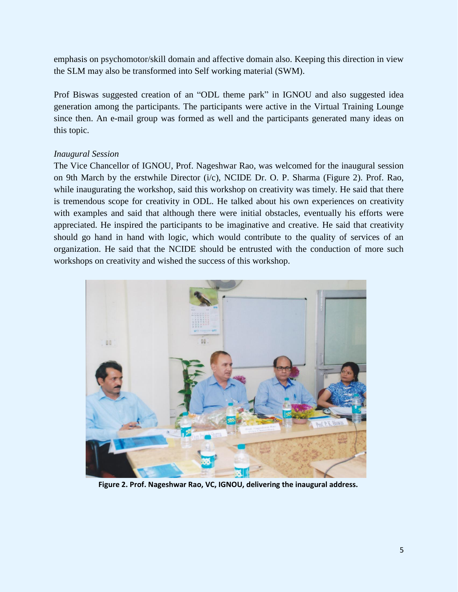emphasis on psychomotor/skill domain and affective domain also. Keeping this direction in view the SLM may also be transformed into Self working material (SWM).

Prof Biswas suggested creation of an "ODL theme park" in IGNOU and also suggested idea generation among the participants. The participants were active in the Virtual Training Lounge since then. An e-mail group was formed as well and the participants generated many ideas on this topic.

### *Inaugural Session*

The Vice Chancellor of IGNOU, Prof. Nageshwar Rao, was welcomed for the inaugural session on 9th March by the erstwhile Director (i/c), NCIDE Dr. O. P. Sharma (Figure 2). Prof. Rao, while inaugurating the workshop, said this workshop on creativity was timely. He said that there is tremendous scope for creativity in ODL. He talked about his own experiences on creativity with examples and said that although there were initial obstacles, eventually his efforts were appreciated. He inspired the participants to be imaginative and creative. He said that creativity should go hand in hand with logic, which would contribute to the quality of services of an organization. He said that the NCIDE should be entrusted with the conduction of more such workshops on creativity and wished the success of this workshop.



**Figure 2. Prof. Nageshwar Rao, VC, IGNOU, delivering the inaugural address.**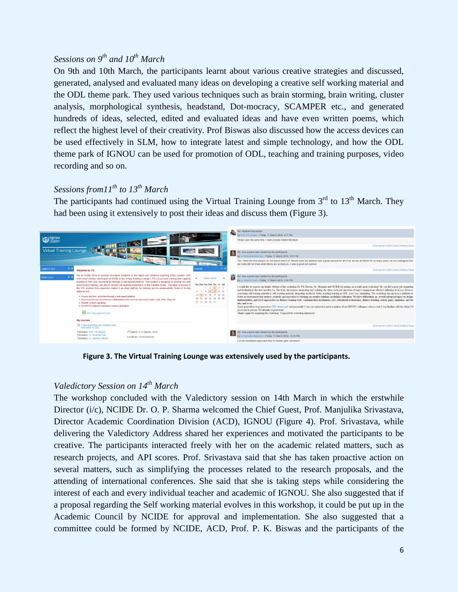# *Sessions on 9th and 10th March*

On 9th and 10th March, the participants learnt about various creative strategies and discussed, generated, analysed and evaluated many ideas on developing a creative self working material and the ODL theme park. They used various techniques such as brain storming, brain writing, cluster analysis, morphological synthesis, headstand, Dot-mocracy, SCAMPER etc., and generated hundreds of ideas, selected, edited and evaluated ideas and have even written poems, which reflect the highest level of their creativity. Prof Biswas also discussed how the access devices can be used effectively in SLM, how to integrate latest and simple technology, and how the ODL theme park of IGNOU can be used for promotion of ODL, teaching and training purposes, video recording and so on.

# *Sessions from11th to 13 th March*

The participants had continued using the Virtual Training Lounge from  $3<sup>rd</sup>$  to  $13<sup>th</sup>$  March. They had been using it extensively to post their ideas and discuss them (Figure 3).



**Figure 3. The Virtual Training Lounge was extensively used by the participants.**

# *Valedictory Session on 14th March*

The workshop concluded with the Valedictory session on 14th March in which the erstwhile Director (i/c), NCIDE Dr. O. P. Sharma welcomed the Chief Guest, Prof. Manjulika Srivastava, Director Academic Coordination Division (ACD), IGNOU (Figure 4). Prof. Srivastava, while delivering the Valedictory Address shared her experiences and motivated the participants to be creative. The participants interacted freely with her on the academic related matters, such as research projects, and API scores. Prof. Srivastava said that she has taken proactive action on several matters, such as simplifying the processes related to the research proposals, and the attending of international conferences. She said that she is taking steps while considering the interest of each and every individual teacher and academic of IGNOU. She also suggested that if a proposal regarding the Self working material evolves in this workshop, it could be put up in the Academic Council by NCIDE for approval and implementation. She also suggested that a committee could be formed by NCIDE, ACD, Prof. P. K. Biswas and the participants of the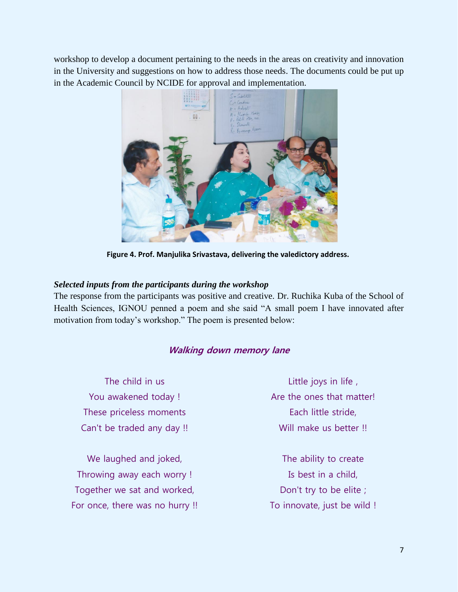workshop to develop a document pertaining to the needs in the areas on creativity and innovation in the University and suggestions on how to address those needs. The documents could be put up in the Academic Council by NCIDE for approval and implementation.



**Figure 4. Prof. Manjulika Srivastava, delivering the valedictory address.**

### *Selected inputs from the participants during the workshop*

The response from the participants was positive and creative. Dr. Ruchika Kuba of the School of Health Sciences, IGNOU penned a poem and she said "A small poem I have innovated after motivation from today's workshop." The poem is presented below:

# **Walking down memory lane**

The child in us You awakened today ! These priceless moments Can't be traded any day !!

We laughed and joked, Throwing away each worry ! Together we sat and worked, For once, there was no hurry !!

Little joys in life , Are the ones that matter! Each little stride, Will make us better !!

The ability to create Is best in a child, Don't try to be elite ; To innovate, just be wild !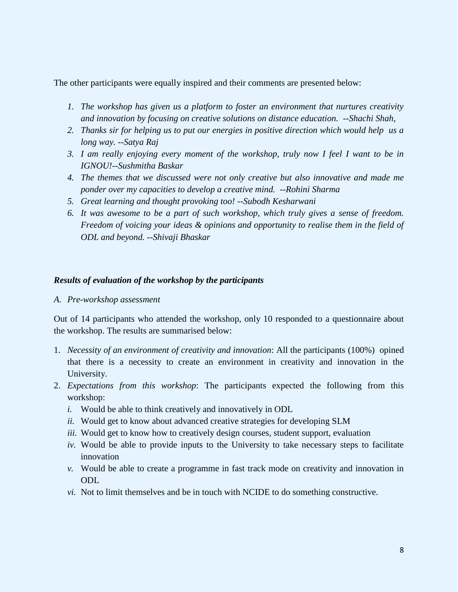The other participants were equally inspired and their comments are presented below:

- *1. The workshop has given us a platform to foster an environment that nurtures creativity and innovation by focusing on creative solutions on distance education. --Shachi Shah,*
- *2. Thanks sir for helping us to put our energies in positive direction which would help us a long way. --Satya Raj*
- *3. I am really enjoying every moment of the workshop, truly now I feel I want to be in IGNOU!--Sushmitha Baskar*
- *4. The themes that we discussed were not only creative but also innovative and made me ponder over my capacities to develop a creative mind. --Rohini Sharma*
- *5. Great learning and thought provoking too! --Subodh Kesharwani*
- *6. It was awesome to be a part of such workshop, which truly gives a sense of freedom. Freedom of voicing your ideas & opinions and opportunity to realise them in the field of ODL and beyond. --Shivaji Bhaskar*

#### *Results of evaluation of the workshop by the participants*

*A. Pre-workshop assessment*

Out of 14 participants who attended the workshop, only 10 responded to a questionnaire about the workshop. The results are summarised below:

- 1. *Necessity of an environment of creativity and innovation*: All the participants (100%) opined that there is a necessity to create an environment in creativity and innovation in the University.
- 2. *Expectations from this workshop*: The participants expected the following from this workshop:
	- *i.* Would be able to think creatively and innovatively in ODL
	- *ii.* Would get to know about advanced creative strategies for developing SLM
	- *iii.* Would get to know how to creatively design courses, student support, evaluation
	- *iv.* Would be able to provide inputs to the University to take necessary steps to facilitate innovation
	- *v.* Would be able to create a programme in fast track mode on creativity and innovation in ODL
	- *vi.* Not to limit themselves and be in touch with NCIDE to do something constructive.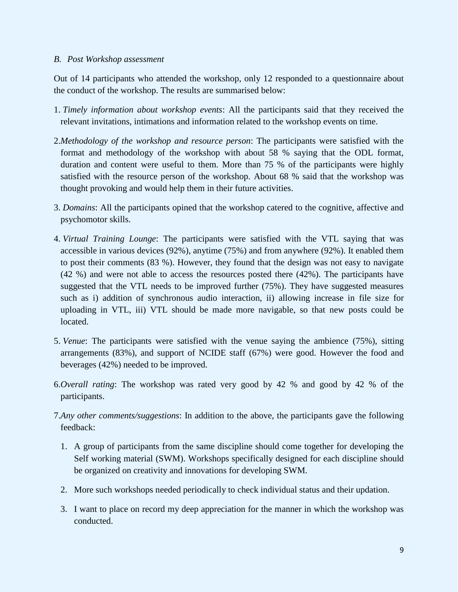#### *B. Post Workshop assessment*

Out of 14 participants who attended the workshop, only 12 responded to a questionnaire about the conduct of the workshop. The results are summarised below:

- 1. *Timely information about workshop events*: All the participants said that they received the relevant invitations, intimations and information related to the workshop events on time.
- 2.*Methodology of the workshop and resource person*: The participants were satisfied with the format and methodology of the workshop with about 58 % saying that the ODL format, duration and content were useful to them. More than 75 % of the participants were highly satisfied with the resource person of the workshop. About 68 % said that the workshop was thought provoking and would help them in their future activities.
- 3. *Domains*: All the participants opined that the workshop catered to the cognitive, affective and psychomotor skills.
- 4. *Virtual Training Lounge*: The participants were satisfied with the VTL saying that was accessible in various devices (92%), anytime (75%) and from anywhere (92%). It enabled them to post their comments (83 %). However, they found that the design was not easy to navigate (42 %) and were not able to access the resources posted there (42%). The participants have suggested that the VTL needs to be improved further (75%). They have suggested measures such as i) addition of synchronous audio interaction, ii) allowing increase in file size for uploading in VTL, iii) VTL should be made more navigable, so that new posts could be located.
- 5. *Venue*: The participants were satisfied with the venue saying the ambience (75%), sitting arrangements (83%), and support of NCIDE staff (67%) were good. However the food and beverages (42%) needed to be improved.
- 6.*Overall rating*: The workshop was rated very good by 42 % and good by 42 % of the participants.
- 7.*Any other comments/suggestions*: In addition to the above, the participants gave the following feedback:
	- 1. A group of participants from the same discipline should come together for developing the Self working material (SWM). Workshops specifically designed for each discipline should be organized on creativity and innovations for developing SWM.
	- 2. More such workshops needed periodically to check individual status and their updation.
	- 3. I want to place on record my deep appreciation for the manner in which the workshop was conducted.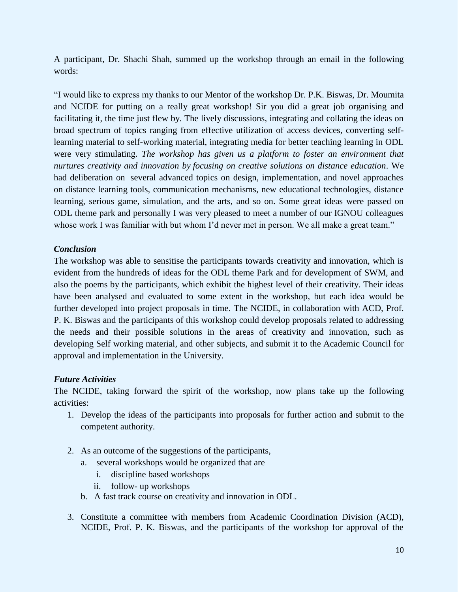A participant, Dr. Shachi Shah, summed up the workshop through an email in the following words:

"I would like to express my thanks to our Mentor of the workshop Dr. P.K. Biswas, Dr. Moumita and NCIDE for putting on a really great workshop! Sir you did a great job organising and facilitating it, the time just flew by. The lively discussions, integrating and collating the ideas on broad spectrum of topics ranging from effective utilization of access devices, converting selflearning material to self-working material, integrating media for better teaching learning in ODL were very stimulating. *The workshop has given us a platform to foster an environment that nurtures creativity and innovation by focusing on creative solutions on distance education*. We had deliberation on several advanced topics on design, implementation, and novel approaches on distance learning tools, communication mechanisms, new educational technologies, distance learning, serious game, simulation, and the arts, and so on. Some great ideas were passed on ODL theme park and personally I was very pleased to meet a number of our IGNOU colleagues whose work I was familiar with but whom I'd never met in person. We all make a great team."

### *Conclusion*

The workshop was able to sensitise the participants towards creativity and innovation, which is evident from the hundreds of ideas for the ODL theme Park and for development of SWM, and also the poems by the participants, which exhibit the highest level of their creativity. Their ideas have been analysed and evaluated to some extent in the workshop, but each idea would be further developed into project proposals in time. The NCIDE, in collaboration with ACD, Prof. P. K. Biswas and the participants of this workshop could develop proposals related to addressing the needs and their possible solutions in the areas of creativity and innovation, such as developing Self working material, and other subjects, and submit it to the Academic Council for approval and implementation in the University.

# *Future Activities*

The NCIDE, taking forward the spirit of the workshop, now plans take up the following activities:

- 1. Develop the ideas of the participants into proposals for further action and submit to the competent authority.
- 2. As an outcome of the suggestions of the participants,
	- a. several workshops would be organized that are
		- i. discipline based workshops
		- ii. follow- up workshops
	- b. A fast track course on creativity and innovation in ODL.
- 3. Constitute a committee with members from Academic Coordination Division (ACD), NCIDE, Prof. P. K. Biswas, and the participants of the workshop for approval of the